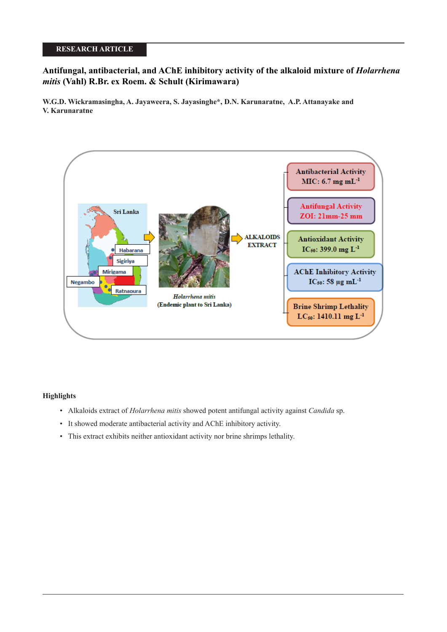# **RESEARCH ARTICLE**

# **Antifungal, antibacterial, and AChE inhibitory activity of the alkaloid mixture of** *Holarrhena mitis* **(Vahl) R.Br. ex Roem. & Schult (Kirimawara)**

**W.G.D. Wickramasingha, A. Jayaweera, S. Jayasinghe\*, D.N. Karunaratne, A.P. Attanayake and V. Karunaratne**



## **Highlights**

- Alkaloids extract of *Holarrhena mitis* showed potent antifungal activity against *Candida* sp.
- It showed moderate antibacterial activity and AChE inhibitory activity.
- This extract exhibits neither antioxidant activity nor brine shrimps lethality.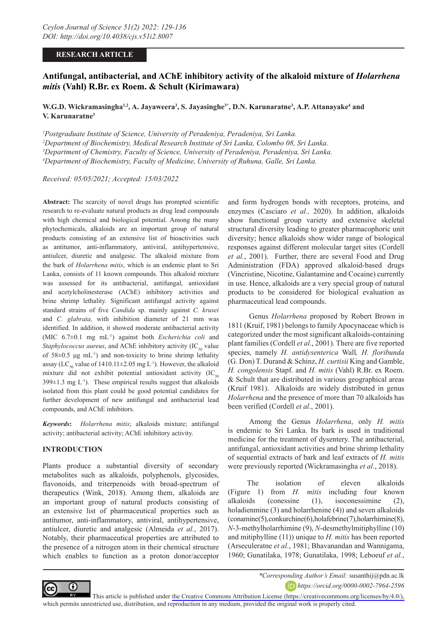## **RESEARCH ARTICLE**

# **Antifungal, antibacterial, and AChE inhibitory activity of the alkaloid mixture of** *Holarrhena mitis* **(Vahl) R.Br. ex Roem. & Schult (Kirimawara)**

**W.G.D. Wickramasingha½, A. Jayaweera3, S. Jayasinghe3\*, D.N. Karunaratne3, A.P. Attanayake4 and V. Karunaratne3**

 *Postgraduate Institute of Science, University of Peradeniya, Peradeniya, Sri Lanka. Department of Biochemistry, Medical Research Institute of Sri Lanka, Colombo 08, Sri Lanka. Department of Chemistry, Faculty of Science, University of Peradeniya, Peradeniya, Sri Lanka. Department of Biochemistry, Faculty of Medicine, University of Ruhuna, Galle, Sri Lanka.*

*Received: 05/05/2021; Accepted: 15/03/2022*

**Abstract:** The scarcity of novel drugs has prompted scientific research to re-evaluate natural products as drug lead compounds with high chemical and biological potential. Among the many phytochemicals, alkaloids are an important group of natural products consisting of an extensive list of bioactivities such as antitumor, anti-inflammatory, antiviral, antihypertensive, antiulcer, diuretic and analgesic. The alkaloid mixture from the bark of *Holarrhena mitis*, which is an endemic plant to Sri Lanka, consists of 11 known compounds. This alkaloid mixture was assessed for its antibacterial, antifungal, antioxidant and acetylcholinesterase (AChE) inhibitory activities and brine shrimp lethality. Significant antifungal activity against standard strains of five *Candida* sp. mainly against *C. krusei* and *C. glabrata,* with inhibition diameter of 21 mm was identified. In addition, it showed moderate antibacterial activity (MIC 6.7±0.1 mg mL-1) against both *Escherichia coli* and *Staphylococcus aureus*, and AChE inhibitory activity  $(IC_{50}$  value of 58±0.5 μg mL-1) and non-toxicity to brine shrimp lethality assay (LC<sub>50</sub> value of 1410.11 $\pm$ 2.05 mg L<sup>-1</sup>). However, the alkaloid mixture did not exhibit potential antioxidant activity  $(IC_{50})$  $399±1.3$  mg L<sup>-1</sup>). These empirical results suggest that alkaloids isolated from this plant could be good potential candidates for further development of new antifungal and antibacterial lead compounds, and AChE inhibitors.

*Keywords***:** *Holarrhena mitis*; alkaloids mixture; antifungal activity; antibacterial activity; AChE inhibitory activity.

## **INTRODUCTION**

Plants produce a substantial diversity of secondary metabolites such as alkaloids, polyphenols, glycosides, flavonoids, and triterpenoids with broad-spectrum of therapeutics (Wink, 2018). Among them, alkaloids are an important group of natural products consisting of an extensive list of pharmaceutical properties such as antitumor, anti-inflammatory, antiviral, antihypertensive, antiulcer, diuretic and analgesic (Almeida *et al.*, 2017). Notably, their pharmaceutical properties are attributed to the presence of a nitrogen atom in their chemical structure which enables to function as a proton donor/acceptor

and form hydrogen bonds with receptors, proteins, and enzymes (Casciaro *et al.,* 2020). In addition, alkaloids show functional group variety and extensive skeletal structural diversity leading to greater pharmacophoric unit diversity; hence alkaloids show wider range of biological responses against different molecular target sites (Cordell *et al.*, 2001). Further, there are several Food and Drug Administration (FDA) approved alkaloid-based drugs (Vincristine, Nicotine, Galantamine and Cocaine) currently in use. Hence, alkaloids are a very special group of natural products to be considered for biological evaluation as pharmaceutical lead compounds.

Genus *Holarrhena* proposed by Robert Brown in 1811 (Kruif, 1981) belongs to family Apocynaceae which is categorized under the most significant alkaloids-containing plant families (Cordell *et al*., 2001). There are five reported species, namely *H. antidysenterica* Wall*, H. floribunda*  (G. Don) T. Durand & Schinz, *H. curtisii* King and Gamble, *H. congolensis* Stapf. and *H. mitis* (Vahl) R.Br. ex Roem. & Schult that are distributed in various geographical areas (Kruif 1981). Alkaloids are widely distributed in genus *Holarrhena* and the presence of more than 70 alkaloids has been verified (Cordell *et al*., 2001).

Among the Genus *Holarrhena*, only *H. mitis* is endemic to Sri Lanka. Its bark is used in traditional medicine for the treatment of dysentery. The antibacterial, antifungal, antioxidant activities and brine shrimp lethality of sequential extracts of bark and leaf extracts of *H. mitis* were previously reported (Wickramasingha *et al*., 2018).

The isolation of eleven alkaloids (Figure 1) from *H. mitis* including four known alkaloids (conessine (1), isoconessimine (2), holadienmine (3) and holarrhenine (4)) and seven alkaloids  $(coamine(5), conkurchine(6), holafebrine(7), holarrhirmine(8),$ *N*-3-methylholarrhimine (9), *N*-desmethylmitiphylline (10) and mitiphylline (11)) unique to *H. mitis* has been reported (Arseculeratne *et al.*, 1981; Bhavanandan and Wannigama, 1960; Gunatilaka, 1978; Gunatilaka, 1998; Leboeuf *et al.*,



*\*Corresponding Author's Email:* susanthij@pdn.ac.lk *https://orcid.org/0000-0002-7964-2596*

This article is published under [the Creative Commons Attribution License \(https://creativecommons.org/licenses/by/4.0/\),](https://creativecommons.org/licenses/by/4.0/)  which permits unrestricted use, distribution, and reproduction in any medium, provided the original work is properly cited.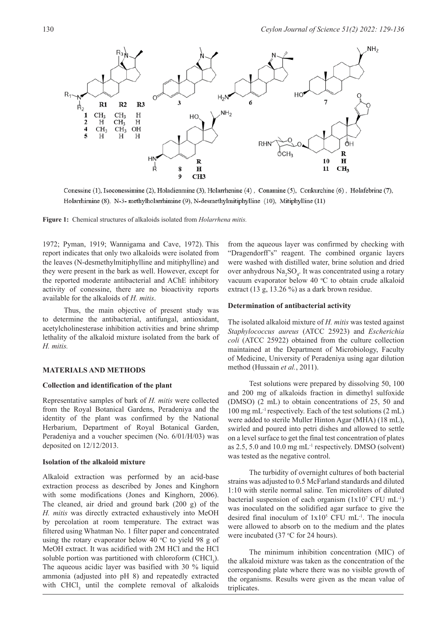

Conessine (1), Isoconessimine (2), Holadienmine (3), Holarrhenine (4), Conamine (5), Conkurchine (6), Holafebrine (7), Holarrhirnine (8), N-3- methylholarrhimine (9), N-desmethylmitiphylline (10), Mitiphylline (11)

**Figure 1:** Chemical structures of alkaloids isolated from *Holarrhena mitis.*

1972; Pyman, 1919; Wannigama and Cave, 1972). This report indicates that only two alkaloids were isolated from the leaves (N-desmethylmitiphylline and mitiphylline) and they were present in the bark as well. However, except for the reported moderate antibacterial and AChE inhibitory activity of conessine, there are no bioactivity reports available for the alkaloids of *H. mitis*.

Thus, the main objective of present study was to determine the antibacterial, antifungal, antioxidant, acetylcholinesterase inhibition activities and brine shrimp lethality of the alkaloid mixture isolated from the bark of *H. mitis.*

#### **MATERIALS AND METHODS**

### **Collection and identification of the plant**

Representative samples of bark of *H. mitis* were collected from the Royal Botanical Gardens, Peradeniya and the identity of the plant was confirmed by the National Herbarium, Department of Royal Botanical Garden, Peradeniya and a voucher specimen (No. 6/01/H/03) was deposited on 12/12/2013.

#### **Isolation of the alkaloid mixture**

Alkaloid extraction was performed by an acid-base extraction process as described by Jones and Kinghorn with some modifications (Jones and Kinghorn, 2006). The cleaned, air dried and ground bark (200 g) of the *H. mitis* was directly extracted exhaustively into MeOH by percolation at room temperature. The extract was filtered using Whatman No. 1 filter paper and concentrated using the rotary evaporator below 40  $\degree$ C to yield 98 g of MeOH extract. It was acidified with 2M HCl and the HCl soluble portion was partitioned with chloroform (CHCl<sub>3</sub>). The aqueous acidic layer was basified with 30 % liquid ammonia (adjusted into pH 8) and repeatedly extracted with  $CHCl<sub>3</sub>$  until the complete removal of alkaloids from the aqueous layer was confirmed by checking with "Dragendorff's" reagent. The combined organic layers were washed with distilled water, brine solution and dried over anhydrous  $\text{Na}_2\text{SO}_4$ . It was concentrated using a rotary vacuum evaporator below 40  $\mathrm{C}$  to obtain crude alkaloid extract (13 g, 13.26 %) as a dark brown residue.

#### **Determination of antibacterial activity**

The isolated alkaloid mixture of *H. mitis* was tested against *Staphylococcus aureus* (ATCC 25923) and *Escherichia coli* (ATCC 25922) obtained from the culture collection maintained at the Department of Microbiology, Faculty of Medicine, University of Peradeniya using agar dilution method (Hussain *et al.*, 2011).

Test solutions were prepared by dissolving 50, 100 and 200 mg of alkaloids fraction in dimethyl sulfoxide (DMSO) (2 mL) to obtain concentrations of 25, 50 and 100 mg mL-1 respectively. Each of the test solutions (2 mL) were added to sterile Muller Hinton Agar (MHA) (18 mL), swirled and poured into petri dishes and allowed to settle on a level surface to get the final test concentration of plates as 2.5, 5.0 and 10.0 mg mL-1 respectively. DMSO (solvent) was tested as the negative control.

The turbidity of overnight cultures of both bacterial strains was adjusted to 0.5 McFarland standards and diluted 1:10 with sterile normal saline. Ten microliters of diluted bacterial suspension of each organism  $(1x10^7 \text{ CFU mL}^{-1})$ was inoculated on the solidified agar surface to give the desired final inoculum of  $1x10^5$  CFU mL<sup>-1</sup>. The inocula were allowed to absorb on to the medium and the plates were incubated  $(37 \,^{\circ}\text{C})$  for 24 hours).

The minimum inhibition concentration (MIC) of the alkaloid mixture was taken as the concentration of the corresponding plate where there was no visible growth of the organisms. Results were given as the mean value of triplicates.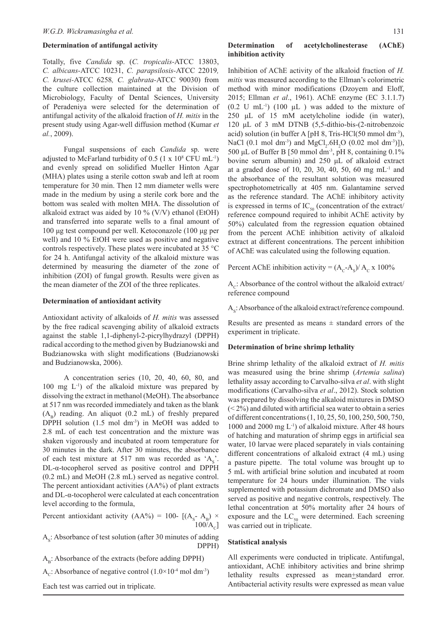#### **Determination of antifungal activity**

Totally, five *Candida* sp. (*C. tropicalis-*ATCC 13803, *C. albicans-*ATCC 10231, *C. parapsilosis-*ATCC 22019*, C. krusei-*ATCC 6258*, C. glabrata-*ATCC 90030) from the culture collection maintained at the Division of Microbiology, Faculty of Dental Sciences, University of Peradeniya were selected for the determination of antifungal activity of the alkaloid fraction of *H. mitis* in the present study using Agar-well diffusion method (Kumar *et al.*, 2009).

Fungal suspensions of each *Candida* sp. were adjusted to McFarland turbidity of  $0.5$  (1 x  $10^8$  CFU mL<sup>-1</sup>) and evenly spread on solidified Mueller Hinton Agar (MHA) plates using a sterile cotton swab and left at room temperature for 30 min. Then 12 mm diameter wells were made in the medium by using a sterile cork bore and the bottom was sealed with molten MHA. The dissolution of alkaloid extract was aided by 10 % (V/V) ethanol (EtOH) and transferred into separate wells to a final amount of 100 μg test compound per well. Ketoconazole (100 μg per well) and 10 % EtOH were used as positive and negative controls respectively. These plates were incubated at 35 °C for 24 h. Antifungal activity of the alkaloid mixture was determined by measuring the diameter of the zone of inhibition (ZOI) of fungal growth. Results were given as the mean diameter of the ZOI of the three replicates.

#### **Determination of antioxidant activity**

Antioxidant activity of alkaloids of *H. mitis* was assessed by the free radical scavenging ability of alkaloid extracts against the stable 1,1-diphenyl-2-picrylhydrazyl (DPPH) radical according to the method given by Budzianowski and Budzianowska with slight modifications (Budzianowski and Budzianowska, 2006).

A concentration series (10, 20, 40, 60, 80, and  $100$  mg  $L^{-1}$ ) of the alkaloid mixture was prepared by dissolving the extract in methanol (MeOH). The absorbance at 517 nm was recorded immediately and taken as the blank  $(A<sub>B</sub>)$  reading. An aliquot (0.2 mL) of freshly prepared DPPH solution (1.5 mol dm<sup>-3</sup>) in MeOH was added to 2.8 mL of each test concentration and the mixture was shaken vigorously and incubated at room temperature for 30 minutes in the dark. After 30 minutes, the absorbance of each test mixture at 517 nm was recorded as  $A_s$ . DL-α-tocopherol served as positive control and DPPH (0.2 mL) and MeOH (2.8 mL) served as negative control. The percent antioxidant activities (AA%) of plant extracts and DL-α-tocopherol were calculated at each concentration level according to the formula,

Percent antioxidant activity (AA%) = 100- [(A<sub>s</sub>- A<sub>B</sub>) ×  $100\bar{A}_c$ ]

 $A_s$ : Absorbance of test solution (after 30 minutes of adding DPPH)

 $A<sub>B</sub>$ : Absorbance of the extracts (before adding DPPH)

A<sub>c</sub>: Absorbance of negative control  $(1.0 \times 10^{-4} \text{ mol dm}^{-3})$ 

Each test was carried out in triplicate.

## **Determination of acetylcholinesterase (AChE) inhibition activity**

Inhibition of AChE activity of the alkaloid fraction of *H. mitis* was measured according to the Ellman's colorimetric method with minor modifications (Dzoyem and Eloff, 2015; Ellman *et al*., 1961). AChE enzyme (EC 3.1.1.7)  $(0.2 \text{ U } mL^{-1})$   $(100 \mu L)$  was added to the mixture of 250 μL of 15 mM acetylcholine iodide (in water), 120 μL of 3 mM DTNB (5,5-dithio-bis-(2-nitrobenzoic acid) solution (in buffer A [pH 8, Tris-HCl(50 mmol dm<sup>-3</sup>), NaCl (0.1 mol dm<sup>-3</sup>) and MgCl<sub>2</sub>.6H<sub>2</sub>O (0.02 mol dm<sup>-3</sup>)]), 500 μL of Buffer B [50 mmol dm-3, pH 8, containing 0.1% bovine serum albumin) and 250 μL of alkaloid extract at a graded dose of 10, 20, 30, 40, 50, 60 mg mL $^{-1}$  and the absorbance of the resultant solution was measured spectrophotometrically at 405 nm. Galantamine served as the reference standard. The AChE inhibitory activity is expressed in terms of  $IC_{50}$  (concentration of the extract/ reference compound required to inhibit AChE activity by 50%) calculated from the regression equation obtained from the percent AChE inhibition activity of alkaloid extract at different concentrations. The percent inhibition of AChE was calculated using the following equation.

Percent AChE inhibition activity =  $(A_c-A_s)/A_c \times 100\%$ 

 $A<sub>c</sub>$ : Absorbance of the control without the alkaloid extract/ reference compound

 $A_s$ : Absorbance of the alkaloid extract/reference compound.

Results are presented as means  $\pm$  standard errors of the experiment in triplicate.

#### **Determination of brine shrimp lethality**

Brine shrimp lethality of the alkaloid extract of *H. mitis* was measured using the brine shrimp (*Artemia salina*) lethality assay according to Carvalho-silva *et al*. with slight modifications (Carvalho-silva *et al*., 2012). Stock solution was prepared by dissolving the alkaloid mixtures in DMSO  $(< 2\%)$  and diluted with artificial sea water to obtain a series of different concentrations (1, 10, 25, 50, 100, 250, 500, 750, 1000 and 2000 mg L-1) of alkaloid mixture. After 48 hours of hatching and maturation of shrimp eggs in artificial sea water, 10 larvae were placed separately in vials containing different concentrations of alkaloid extract (4 mL) using a pasture pipette. The total volume was brought up to 5 mL with artificial brine solution and incubated at room temperature for 24 hours under illumination. The vials supplemented with potassium dichromate and DMSO also served as positive and negative controls, respectively. The lethal concentration at 50% mortality after 24 hours of exposure and the  $LC_{50}$  were determined. Each screening was carried out in triplicate.

#### **Statistical analysis**

All experiments were conducted in triplicate. Antifungal, antioxidant, AChE inhibitory activities and brine shrimp lethality results expressed as mean+standard error. Antibacterial activity results were expressed as mean value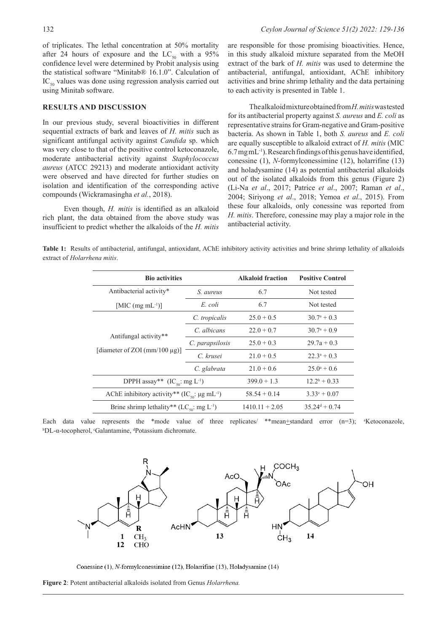of triplicates. The lethal concentration at 50% mortality after 24 hours of exposure and the  $LC_{50}$  with a 95% confidence level were determined by Probit analysis using the statistical software "Minitab® 16.1.0". Calculation of  $IC_{50}$  values was done using regression analysis carried out using Minitab software.

### **RESULTS AND DISCUSSION**

In our previous study, several bioactivities in different sequential extracts of bark and leaves of *H. mitis* such as significant antifungal activity against *Candida* sp. which was very close to that of the positive control ketoconazole, moderate antibacterial activity against *Staphylococcus aureus* (ATCC 29213) and moderate antioxidant activity were observed and have directed for further studies on isolation and identification of the corresponding active compounds (Wickramasingha *et al.*, 2018).

Even though, *H. mitis* is identified as an alkaloid rich plant, the data obtained from the above study was insufficient to predict whether the alkaloids of the *H. mitis*

are responsible for those promising bioactivities. Hence, in this study alkaloid mixture separated from the MeOH extract of the bark of *H. mitis* was used to determine the antibacterial, antifungal, antioxidant, AChE inhibitory activities and brine shrimp lethality and the data pertaining to each activity is presented in Table 1.

The alkaloid mixture obtained from *H. mitis* was tested for its antibacterial property against *S. aureus* and *E. coli* as representative strains for Gram-negative and Gram-positive bacteria. As shown in Table 1, both *S. aureus* and *E. coli* are equally susceptible to alkaloid extract of *H. mitis* (MIC  $6.7$  mg mL<sup>-1</sup>). Research findings of this genus have identified, conessine (1), *N*-formylconessimine (12), holarrifine (13) and holadysamine (14) as potential antibacterial alkaloids out of the isolated alkaloids from this genus (Figure 2) (Li-Na *et al*., 2017; Patrice *et al*., 2007; Raman *et al*., 2004; Siriyong *et al*., 2018; Yemoa *et al*., 2015). From these four alkaloids, only conessine was reported from *H. mitis*. Therefore, conessine may play a major role in the antibacterial activity.

**Table 1:** Results of antibacterial, antifungal, antioxidant, AChE inhibitory activity activities and brine shrimp lethality of alkaloids extract of *Holarrhena mitis*.

| <b>Bio activities</b>                                             |                 | <b>Alkaloid fraction</b> | <b>Positive Control</b>                |
|-------------------------------------------------------------------|-----------------|--------------------------|----------------------------------------|
| Antibacterial activity*                                           | S. aureus       | 6.7                      | Not tested                             |
| [MIC $(mg \, mL^{-1})$ ]                                          | E coli          | 6.7                      | Not tested                             |
| Antifungal activity**<br>[diameter of ZOI (mm/100 $\mu$ g)]       | C. tropicalis   | $25.0 + 0.5$             | $30.7^{\rm a}+0.3$                     |
|                                                                   | C. albicans     | $22.0 + 0.7$             | $30.7^{\mathrm{a}} + 0.9^{\mathrm{c}}$ |
|                                                                   | C. parapsilosis | $25.0 + 0.3$             | $29.7a + 0.3$                          |
|                                                                   | C. krusei       | $21.0 + 0.5$             | $22.3^a + 0.3$                         |
|                                                                   | C. glabrata     | $21.0 + 0.6$             | $25.0^{\circ}+0.6$                     |
| DPPH assay** $(IC_{50}: mg L^{-1})$                               |                 | $399.0 + 1.3$            | $12.2^b + 0.33$                        |
| AChE inhibitory activity** $(IC_{so}: \mu g \, mL^{-1})$          |                 | $58.54 + 0.14$           | $3.33^{\circ} + 0.07$                  |
| Brine shrimp lethality** (LC <sub>so</sub> : mg L <sup>-1</sup> ) |                 | $1410.11 + 2.05$         | $35.24^d + 0.74$                       |





Conessine (1), N-formylconessimine (12), Holarrifine (13), Holadysamine (14)

**Figure 2**: Potent antibacterial alkaloids isolated from Genus *Holarrhena.*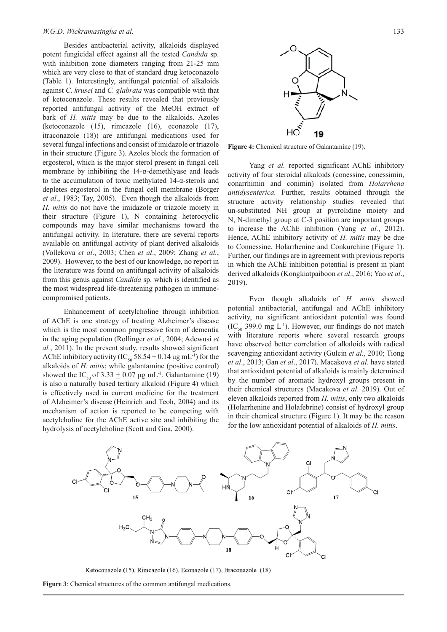Besides antibacterial activity, alkaloids displayed potent fungicidal effect against all the tested *Candida* sp. with inhibition zone diameters ranging from 21-25 mm which are very close to that of standard drug ketoconazole (Table 1). Interestingly, antifungal potential of alkaloids against *C. krusei* and *C. glabrata* was compatible with that of ketoconazole. These results revealed that previously reported antifungal activity of the MeOH extract of bark of *H. mitis* may be due to the alkaloids. Azoles (ketoconazole (15), rimcazole (16), econazole (17), itraconazole (18)) are antifungal medications used for several fungal infections and consist of imidazole or triazole in their structure (Figure 3). Azoles block the formation of ergosterol, which is the major sterol present in fungal cell membrane by inhibiting the 14-α-demethlyase and leads to the accumulation of toxic methylated 14-α-sterols and depletes ergosterol in the fungal cell membrane (Borger *et al*., 1983; Tay, 2005). Even though the alkaloids from *H. mitis* do not have the imidazole or triazole moiety in their structure (Figure 1), N containing heterocyclic compounds may have similar mechanisms toward the antifungal activity. In literature, there are several reports available on antifungal activity of plant derived alkaloids (Vollekova *et al*., 2003; Chen *et al*., 2009; Zhang *et al.*, 2009). However, to the best of our knowledge, no report in the literature was found on antifungal activity of alkaloids from this genus against *Candida* sp. which is identified as the most widespread life-threatening pathogen in immunecompromised patients.

Enhancement of acetylcholine through inhibition of AChE is one strategy of treating Alzheimer's disease which is the most common progressive form of dementia in the aging population (Rollinger *et al.*, 2004; Adewusi *et al.*, 2011). In the present study, results showed significant AChE inhibitory activity (IC<sub>50</sub> 58.54  $\pm$  0.14 μg mL<sup>-1</sup>) for the alkaloids of *H. mitis*; while galantamine (positive control) showed the IC<sub>50</sub> of 3.33  $\pm$  0.07 μg mL<sup>-1</sup>. Galantamine (19) is also a naturally based tertiary alkaloid (Figure 4) which is effectively used in current medicine for the treatment of Alzheimer's disease (Heinrich and Teoh, 2004) and its mechanism of action is reported to be competing with acetylcholine for the AChE active site and inhibiting the hydrolysis of acetylcholine (Scott and Goa, 2000).





**Figure 4:** Chemical structure of Galantamine (19).

Yang *et al.* reported significant AChE inhibitory activity of four steroidal alkaloids (conessine, conessimin, conarrhimin and conimin) isolated from *Holarrhena antidysenterica.* Further, results obtained through the structure activity relationship studies revealed that un-substituted NH group at pyrrolidine moiety and N, N-dimethyl group at C-3 position are important groups to increase the AChE inhibition (Yang *et al.*, 2012). Hence, AChE inhibitory activity of *H. mitis* may be due to Connessine, Holarrhenine and Conkurchine (Figure 1). Further, our findings are in agreement with previous reports in which the AChE inhibition potential is present in plant derived alkaloids (Kongkiatpaiboon *et al*., 2016; Yao *et al*., 2019).

Even though alkaloids of *H. mitis* showed potential antibacterial, antifungal and AChE inhibitory activity, no significant antioxidant potential was found  $(IC_{\epsilon_0} 399.0 \text{ mg } L^{-1})$ . However, our findings do not match with literature reports where several research groups have observed better correlation of alkaloids with radical scavenging antioxidant activity (Gulcin *et al.*, 2010; Tiong *et al*., 2013; Gan *et al*., 2017). Macakova *et al*. have stated that antioxidant potential of alkaloids is mainly determined by the number of aromatic hydroxyl groups present in their chemical structures (Macakova *et al*. 2019). Out of eleven alkaloids reported from *H. mitis*, only two alkaloids (Holarrhenine and Holafebrine) consist of hydroxyl group in their chemical structure (Figure 1). It may be the reason for the low antioxidant potential of alkaloids of *H. mitis*.



Ketoconazole (15), Rimcazole (16), Econazole (17), Itraconazole (18)

**Figure 3**: Chemical structures of the common antifungal medications.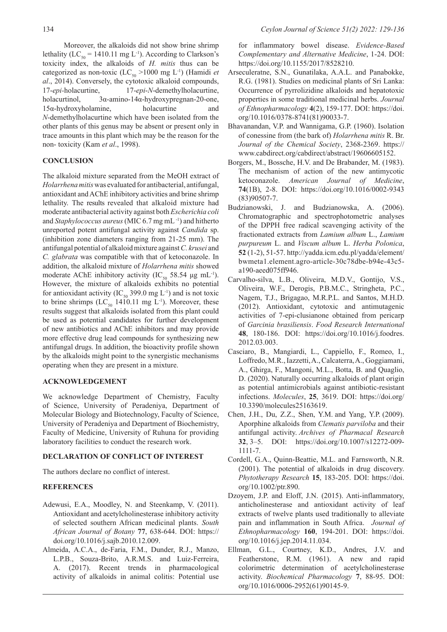Moreover, the alkaloids did not show brine shrimp lethality (LC<sub>50</sub> = 1410.11 mg L<sup>-1</sup>). According to Clarkson's toxicity index, the alkaloids of *H. mitis* thus can be categorized as non-toxic (LC<sub>50</sub> >1000 mg L<sup>-1</sup>) (Hamidi *et al*., 2014). Conversely, the cytotoxic alkaloid compounds, 17-*epi-*holacurtine, 17-*epi*-*N*-demethylholacurtine, holacurtinol, 3α-amino-14α-hydroxypregnan-20-one, 15α-hydroxyholamine, holacurtine and *N*-demethylholacurtine which have been isolated from the other plants of this genus may be absent or present only in trace amounts in this plant which may be the reason for the non- toxicity (Kam *et al*., 1998).

## **CONCLUSION**

The alkaloid mixture separated from the MeOH extract of *Holarrhena mitis* was evaluated for antibacterial, antifungal, antioxidant and AChE inhibitory activities and brine shrimp lethality. The results revealed that alkaloid mixture had moderate antibacterial activity against both *Escherichia coli* and *Staphylococcus aureus* (MIC 6.7 mg mL -1) and hitherto unreported potent antifungal activity against *Candida* sp. (inhibition zone diameters ranging from 21-25 mm). The antifungal potential of alkaloid mixture against *C. krusei* and *C. glabrata* was compatible with that of ketoconazole. In addition, the alkaloid mixture of *Holarrhena mitis* showed moderate AChE inhibitory activity (IC<sub>50</sub> 58.54 μg mL<sup>-1</sup>). However, the mixture of alkaloids exhibits no potential for antioxidant activity (IC<sub>50</sub> 399.0 mg L<sup>-1</sup>) and is not toxic to brine shrimps (LC<sub>50</sub> 1410.11 mg L<sup>-1</sup>). Moreover, these results suggest that alkaloids isolated from this plant could be used as potential candidates for further development of new antibiotics and AChE inhibitors and may provide more effective drug lead compounds for synthesizing new antifungal drugs. In addition, the bioactivity profile shown by the alkaloids might point to the synergistic mechanisms operating when they are present in a mixture.

## **ACKNOWLEDGEMENT**

We acknowledge Department of Chemistry, Faculty of Science, University of Peradeniya, Department of Molecular Biology and Biotechnology, Faculty of Science, University of Peradeniya and Department of Biochemistry, Faculty of Medicine, University of Ruhuna for providing laboratory facilities to conduct the research work.

## **DECLARATION OF CONFLICT OF INTEREST**

The authors declare no conflict of interest.

## **REFERENCES**

- Adewusi, E.A., Moodley, N. and Steenkamp, V. (2011). Antioxidant and acetylcholinesterase inhibitory activity of selected southern African medicinal plants. *South African Journal of Botany* **77**, 638-644. DOI: https:// doi.org/10.1016/j.sajb.2010.12.009.
- Almeida, A.C.A., de-Faria, F.M., Dunder, R.J., Manzo, L.P.B., Souza-Brito, A.R.M.S. and Luiz-Ferreira, A. (2017). Recent trends in pharmacological activity of alkaloids in animal colitis: Potential use

for inflammatory bowel disease. *Evidence-Based Complementary and Alternative Medicine*, 1-24. DOI: https://doi.org/10.1155/2017/8528210.

- Arseculeratne, S.N., Gunatilaka, A.A.L. and Panabokke, R.G. (1981). Studies on medicinal plants of Sri Lanka: Occurrence of pyrrolizidine alkaloids and hepatotoxic properties in some traditional medicinal herbs. *Journal of Ethnopharmacology* **4**(2), 159-177. DOI: https://doi. org/10.1016/0378-8741(81)90033-7.
- Bhavanandan, V.P. and Wannigama, G.P. (1960). Isolation of conessine from (the bark of) *Holarrhena mitis* R. Br. *Journal of the Chemical Society*, 2368-2369. https:// www.cabdirect.org/cabdirect/abstract/19606605152.
- Borgers, M., Bossche, H.V. and De Brabander, M. (1983). The mechanism of action of the new antimycotic ketoconazole. *American Journal of Medicine*, **74**(1B), 2-8. DOI: https://doi.org/10.1016/0002-9343 (83)90507-7.
- Budzianowski, J. and Budzianowska, A. (2006). Chromatographic and spectrophotometric analyses of the DPPH free radical scavenging activity of the fractionated extracts from *Lamium album* L., *Lamium purpureum* L. and *Viscum album* L. *Herba Polonica*, **52** (1-2), 51-57. http://yadda.icm.edu.pl/yadda/element/ bwmeta1.element.agro-article-30c78dbe-b94e-43c5 a190-aeed075ff946.
- Carvalho-silva, L.B., Oliveira, M.D.V., Gontijo, V.S., Oliveira, W.F., Derogis, P.B.M.C., Stringheta, P.C., Nagem, T.J., Brigagao, M.R.P.L. and Santos, M.H.D. (2012). Antioxidant, cytotoxic and antimutagenic activities of 7-epi-clusianone obtained from pericarp of *Garcinia brasiliensis*. *Food Research International* **48**, 180-186. DOI: https://doi.org/10.1016/j.foodres. 2012.03.003.
- Casciaro, B., Mangiardi, L., Cappiello, F., Romeo, I., Loffredo, M.R., Iazzetti, A., Calcaterra, A., Goggiamani, A., Ghirga, F., Mangoni, M.L., Botta, B. and Quaglio, D. (2020). Naturally occurring alkaloids of plant origin as potential antimicrobials against antibiotic-resistant infections. *Molecules*, **25**, 3619. DOI: https://doi.org/ 10.3390/molecules25163619.
- Chen, J.H., Du, Z.Z., Shen, Y.M. and Yang, Y.P. (2009). Aporphine alkaloids from *Clematis parviloba* and their antifungal activity. *Archives of Pharmacal Research*  **32**, 3–5. DOI: https://doi.org/10.1007/s12272-009- 1111-7.
- Cordell, G.A., Quinn-Beattie, M.L. and Farnsworth, N.R. (2001). The potential of alkaloids in drug discovery. *Phytotherapy Research* **15**, 183-205. DOI: https://doi. org/10.1002/ptr.890.
- Dzoyem, J.P. and Eloff, J.N. (2015). Anti-inflammatory, anticholinesterase and antioxidant activity of leaf extracts of twelve plants used traditionally to alleviate pain and inflammation in South Africa. *Journal of Ethnopharmacology* **160**, 194-201. DOI: https://doi. org/10.1016/j.jep.2014.11.034.
- Ellman, G.L., Courtney, K.D., Andres, J.V. and Featherstone, R.M. (1961). A new and rapid colorimetric determination of acetylcholinesterase activity. *Biochemical Pharmacology* **7**, 88-95. DOI: org/10.1016/0006-2952(61)90145-9.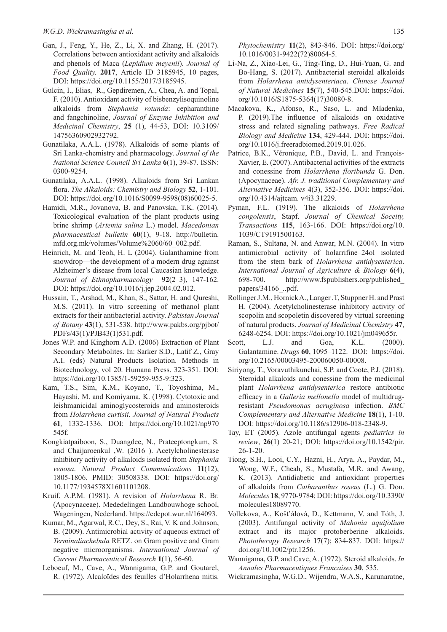- Gan, J., Feng, Y., He, Z., Li, X. and Zhang, H. (2017). Correlations between antioxidant activity and alkaloids and phenols of Maca (*Lepidium meyenii*). *Journal of Food Quality.* **2017**, Article ID 3185945, 10 pages, DOI: https://doi.org/10.1155/2017/3185945.
- Gulcin, I., Elias, R., Gepdiremen, A., Chea, A. and Topal, F. (2010). Antioxidant activity of bisbenzylisoquinoline alkaloids from *Stephania rotunda*: cepharanthine and fangchinoline, *Journal of Enzyme Inhibition and Medicinal Chemistry*, **25** (1), 44-53, DOI: 10.3109/ 14756360902932792.
- Gunatilaka, A.A.L. (1978). Alkaloids of some plants of Sri Lanka-chemistry and pharmacology. *Journal of the National Science Council Sri Lanka* **6**(1), 39-87. ISSN: 0300-9254.
- Gunatilaka, A.A.L. (1998). Alkaloids from Sri Lankan flora. *The Alkaloids: Chemistry and Biology* **52**, 1-101. DOI: https://doi.org/10.1016/S0099-9598(08)60025-5.
- Hamidi, M.R., Jovanova, B. and Panovska, T.K. (2014). Toxicоlogical evaluation of the plant products using brine shrimp (*Artemia salina* L.) model. *Macedonian pharmaceutical bulletin* **60**(1), 9-18. http://bulletin. mfd.org.mk/volumes/Volume%2060/60\_002.pdf.
- Heinrich, M. and Teoh, H. L (2004). Galanthamine from snowdrop—the development of a modern drug against Alzheimer's disease from local Caucasian knowledge. *Journal of Ethnopharmacology* **92**(2–3), 147-162. DOI: https://doi.org/10.1016/j.jep.2004.02.012.
- Hussain, T., Arshad, M., Khan, S., Sattar, H. and Qureshi, M.S. (2011). In vitro screening of methanol plant extracts for their antibacterial activity. *Pakistan Journal of Botany* **43**(1), 531-538. http://www.pakbs.org/pjbot/ PDFs/43(1)/PJB43(1)531.pdf.
- Jones W.P. and Kinghorn A.D. (2006) Extraction of Plant Secondary Metabolites. In: Sarker S.D., Latif Z., Gray A.I. (eds) Natural Products Isolation. Methods in Biotechnology, vol 20. Humana Press. 323-351. DOI: https://doi.org/10.1385/1-59259-955-9:323.
- Kam, T.S., Sim, K.M., Koyano, T., Toyoshima, M., Hayashi, M. and Komiyama, K. (1998). Cytotoxic and leishmanicidal aminoglycosteroids and aminosteroids from *Holarrhena curtisii*. *Journal of Natural Products*  **61***,* 1332-1336. DOI: https://doi.org/10.1021/np970 545f.
- Kongkiatpaiboon, S., Duangdee, N., Prateeptongkum, S. and Chaijaroenkul ,W. (2016 ). Acetylcholinesterase inhibitory activity of alkaloids isolated from *Stephania venosa*. *Natural Product Communications* **11**(12), 1805-1806. PMID: 30508338. DOI: https://doi.org/ 10.1177/1934578X1601101208.
- Kruif, A.P.M. (1981). A revision of *Holarrhena* R. Br. (Apocynaceae). Mededelingen Landbouwhoge school, Wageningen, Nederland. https://edepot.wur.nl/164093.
- Kumar, M., Agarwal, R.C., Dey, S., Rai, V. K and Johnson, B. (2009). Antimicrobial activity of aqueous extract of *Terminaliachebula* RETZ. on Gram positive and Gram negative microorganisms. *International Journal of Current Pharmaceutical Research* **1**(1), 56-60.
- Leboeuf, M., Cave, A., Wannigama, G.P. and Goutarel, R. (1972). Alcaloïdes des feuilles d'Holarrhena mitis.

*Phytochemistry* **11**(2), 843-846. DOI: https://doi.org/ 10.1016/0031-9422(72)80064-5.

- Li-Na, Z., Xiao-Lei, G., Ting-Ting, D., Hui-Yuan, G. and Bo-Hang, S. (2017). Antibacterial steroidal alkaloids from *Holarrhena antidysenteriaca*. *Chinese Journal of Natural Medicines* **15**(7), 540-545.DOI: https://doi. org/10.1016/S1875-5364(17)30080-8.
- Macakova, K., Afonso, R., Saso, L. and Mladenka, P. (2019).The influence of alkaloids on oxidative stress and related signaling pathways. *Free Radical Biology and Medicine* **134**, 429-444. DOI: https://doi. org/10.1016/j.freeradbiomed.2019.01.026.
- Patrice, B.K., Véronique, P.B., David, L. and François-Xavier, E. (2007). Antibacterial activities of the extracts and conessine from *Holarrhena floribunda* G. Don. (Apocynaceae). *Afr. J. traditional Complementary and Alternative Medicines* **4**(3), 352-356. DOI: https://doi. org/10.4314/ajtcam. v4i3.31229.
- Pyman, F.L. (1919). The alkaloids of *Holarrhena congolensis*, Stapf. *Journal of Chemical Soceity, Transactions* **115**, 163-166. DOI: https://doi.org/10. 1039/CT9191500163.
- Raman, S., Sultana, N. and Anwar, M.N. (2004). In vitro antimicrobial activity of holarrifine–24ol isolated from the stem bark of *Holarrhena antidysenterica*. *International Journal of Agriculture & Biology* **6**(4), 698-700. http://www.fspublishers.org/published\_ papers/34166\_..pdf.
- Rollinger J.M., Hornick A., Langer .T, Stuppner H. and Prast H. (2004). Acetylcholinesterase inhibitory activity of scopolin and scopoletin discovered by virtual screening of natural products. *Journal of Medicinal Chemistry* **47**, 6248-6254. DOI: https://doi.org/10.1021/jm049655r.
- Scott, L.J. and Goa, K.L. (2000). Galantamine. *Drugs* **60**, 1095–1122. DOI: https://doi. org/[10.2165/00003495-200060050-00008.](https://doi.org/10.2165/00003495-200060050-00008)
- Siriyong, T., Voravuthikunchai, S.P. and Coote, P.J. (2018). Steroidal alkaloids and conessine from the medicinal plant *Holarrhena antidysenterica* restore antibiotic efficacy in a *Galleria mellonella* model of multidrugresistant *Pseudomonas aeruginosa* infection. *BMC Complementary and Alternative Medicine* **18**(1), 1-10. DOI: https://doi.org/10.1186/s12906-018-2348-9.
- Tay, ET (2005). Azole antifungal agents *pediatrics in review*, **26**(1) 20-21; DOI: https://doi.org/10.1542/pir. 26-1-20.
- Tiong, S.H., Looi, C.Y., Hazni, H., Arya, A., Paydar, M., Wong, W.F., Cheah, S., Mustafa, M.R. and Awang, K. (2013). Antidiabetic and antioxidant properties of alkaloids from *Catharanthus roseus* (L.) G. Don. *Molecules* **18**, 9770-9784; DOI: https://doi.org/10.3390/ molecules18089770.
- Vollekova, A., Košt'álová, D., Kettmann, V. and Tóth, J. (2003). Antifungal activity of *Mahonia aquifolium*  extract and its major protoberberine alkaloids. *Phototherapy Research* **17**(7); 834-837. DOI: https:// doi.org/10.1002/ptr.1256.
- Wannigama, G.P. and Cave, A. (1972). Steroid alkaloids. *In Annales Pharmaceutiques Francaises* **30**, 535.
- Wickramasingha, W.G.D., Wijendra, W.A.S., Karunaratne,